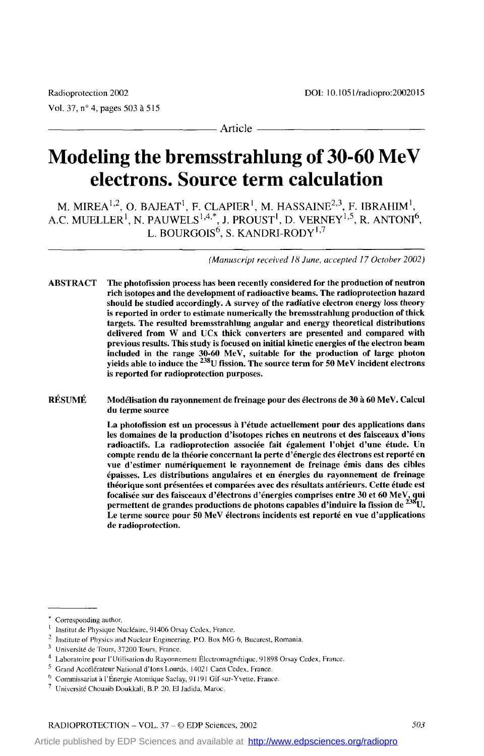### Article

# **Modeling the bremsstrahlung of 30-60 MeV electrons. Source term calculation**

M. MIREA $^{1,2}$ , O. BAJEAT<sup>1</sup>, F. CLAPIER<sup>1</sup>, M. HASSAINE<sup>2,3</sup>, F. IBRAHIM<sup>1</sup>, A.C. MUELLER', N. PAUWELS\*,43\*, **J.** PROUST', D. VERNEY'25, R. **ANTON16,**  L. BOURGOIS<sup>6</sup>, S. KANDRI-RODY<sup>1,7</sup>

*(Manuscript received 18 June, accepted 17 Octoher 2002)* 

ABSTRACT The photofission proces has been recently considered for the production of neutron rich isotopes and the development of radioactive beams. The radioprotection bazard should he sîudied accordingly. A survey of the radiative electron energy **loss** theory **is** reported in order to estimate numerically the hremsstrahlung production of thick targets. The resulted bremsstrahlung angdar and energy theoretical distributions delivered from W and UCx thick converters are presented and compared with previous **resuits.** This study is focused on initiai kinetic energies of the electron heam included in the range 30-60 MeV, suitable for the production of large photon yields able **to** induce the 238U fission. The source term for **50** MeV incident electrons is reported for radioprotection purposes.

RÉSUMÉ Modélisation du rayonnement de freinage pour des électrons de 30 à 60 MeV. Calcul du krme source

> La photofission est un processus à l'étude actuellement pour des applications dans les domaines de la production d'isotopes riches en neutrons et des faisceaux d'ions radioactifs. La radioprotection associée fait également l'objet d'une étude. Un compte rendu de la théorie concernant la perte d'énergie des électrons est reporté en vue d'estimer numériquement le rayonnement de freinage émis dans des cibles épaisses. Les distributions angulaires et en énergies du rayonnement de freinage théorique sont présentées et comparées avec des résultats antérieurs. Cette étude est focalisée sur des faisceaux d'électrons d'énergies comprises entre 30 et 60 MeV, qui permettent de grandes productions de photons capables d'induire la fission de <sup>238</sup>U. Le terme source pour **50** MeV électrons incidents est reporté en vue d'applications de radioprotection.

Corresponding author. ' Institut de Physique Nuciédirc, 91406 Orsay Cedex, France. ' Institute of Physics and Nuclear Engineering. P.O. Box MG-6, Bucarest, Romania. ' Universilé de Tours, *37200* Tours. France.

<sup>4</sup> Laboratoire pour l'Útilisation du Rayonnement Électromagnétique, 91898 Orsay Cedex, France.<br>5 Grand Accélérateur National d'Ions Lourds, 14021 Caen Cedex, France.<br>6 Commissariat à l'Énergie Atomique Saclay, 91191 Gif-sur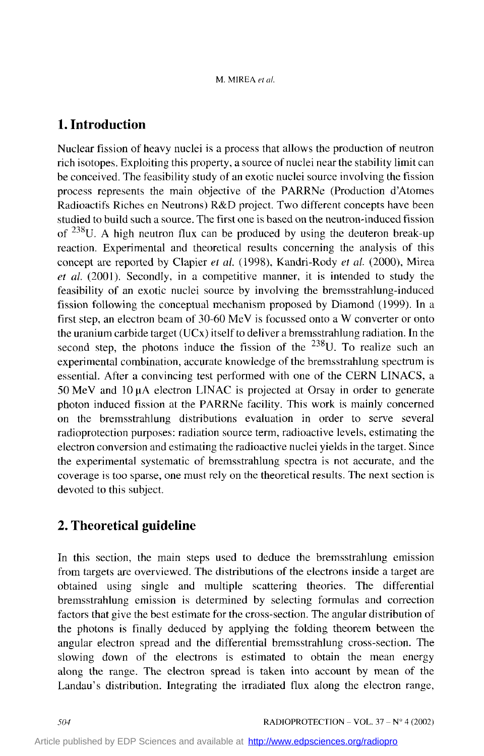# **1. Introduction**

Nuclear fission of heavy nuclei is a process that allows the production of neutron rich isotopes. Exploiting this property, a source of nuclei near the stability limit can be conceived. The feasibility study of an exotic nuclei source involving the fission process represents the main objective of the PARRNe (Production d'Atomes Radioactifs Riches en Neutrons) R&D project. Two different concepts have been studied to build such a source. The first one is based on the neutron-induced fission of  $238$ U. A high neutron flux can be produced by using the deuteron break-up reaction. Experimental and theoretical results concerning the analysis of this concept are reported by Clapier et *al.* (1998), Kandri-Rody *et al.* (2000), Mirea *et al.* (2001). Secondly, in a competitive manner, it is intended to study the feasibility of an exotic nuclei source by involving the bremsstrahlung-induced fission following the conceptual mechanism proposed by Diamond (1999). In a first step, an electron beam of 30-60 MeV is focussed onto a W converter or onto the uranium carbide target (UCx) itself to deliver a bremsstrahlung radiation. In the second step, the photons induce the fission of the  $^{238}$ U. To realize such an expenmental combination, accurate knowledge of the bremsstrahlung spectrum is essential. After a convincing test performed with one of the CERN LINACS, a 50 MeV and 10 µA electron LINAC is projected at Orsay in order to generate photon induced fission at the PARRNe facility. This work is mainly concerned on the bremsstrahlung distributions evaluation in order to serve several radioprotection purposes: radiation source term, radioactive levels, estimating the electron conversion and estimating the radioactive nuclei yields in the target. Since the experimental systematic of bremsstrahlung spectra is not accurate, and the coverage is too sparse, one must rely on the theoretical results. The next section is devoted to this subject.

# **2. Theoretical guideline**

In this section, the main steps used to deduce the bremsstrahlung emission from targets are overviewed. The distributions of the electrons inside a target are obtained using single and multiple scattering theories. The differential bremsstrahlung emission is determined by selecting formulas and correction factors that give the best estimate for the cross-section. The angular distribution of the photons is finally deduced by applying the folding theorem between the angular electron spread and the differential bremsstrahlung cross-section. The slowing down of the electrons is estimated to obtain the mean energy along the range. The electron spread is taken into account by mean of the Landau's distribution. Integrating the irradiated flux along the electron range,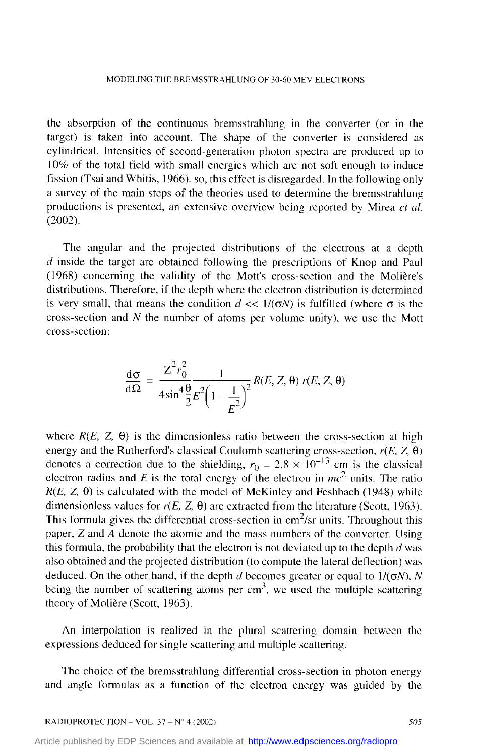the absorption of the continuous bremsstrahlung in the converter (or in the target) is taken into account. The shape of the converter is considered as cylindrical. Intensities of second-generation photon spectra are produced up to 10% of the total field with small energies which are not soft enough to induce fission (Tsai and Whitis, 1966), so, this effect is disregarded. In the following only a survey of the main steps of the theories used to determine the bremsstrahlung productions is presented, an extensive overview being reported by Mirea *et al.*  (2002).

The angular and the projected distributions of the electrons at a depth *d* inside the target are obtained following the prescriptions of Knop and Paul (1968) concerning the validity of the Mott's cross-section and the Molière's distributions. Therefore, if the depth where the electron distribution is determined is very small, that means the condition  $d \ll 1/(\sigma N)$  is fulfilled (where  $\sigma$  is the cross-section and *N* the number of atoms per volume unity), we use the Mott cross-section:

$$
\frac{\mathrm{d}\sigma}{\mathrm{d}\Omega} = \frac{Z^2 r_0^2}{4\sin^4\frac{\theta}{2}} \frac{1}{E^2 \left(1 - \frac{1}{E^2}\right)^2} R(E, Z, \theta) r(E, Z, \theta)
$$

where  $R(E, Z, \theta)$  is the dimensionless ratio between the cross-section at high energy and the Rutherford's classical Coulomb scattering cross-section,  $r(E, Z, \theta)$ denotes a correction due to the shielding,  $r_0 = 2.8 \times 10^{-13}$  cm is the classical electron radius and  $E$  is the total energy of the electron in  $mc^2$  units. The ratio  $R(E, Z, \theta)$  is calculated with the model of McKinley and Feshbach (1948) while dimensionless values for  $r(E, Z, \theta)$  are extracted from the literature (Scott, 1963). This formula gives the differential cross-section in  $\text{cm}^2/\text{sr}$  units. Throughout this paper, *Z* and *A* denote the atomic and the mass numbers of the converter. Using this formula, the probability that the electron is not deviated up to the depth  $d$  was also obtained and the projected distribution (to compte the lateral deflection) was deduced. On the other hand, if the depth *d* becomes greater or equal to  $1/(\sigma N)$ , *N* being the number of scattering atoms per  $cm<sup>3</sup>$ , we used the multiple scattering theory of Molière (Scott, 1963).

An interpolation is realized in the plural scattering domain between the expressions deduced for single scattering and multiple scattering.

The choice of the bremsstrahlung differential cross-section in photon energy and angle formulas as a function of the electron energy was guided by the

[Article published by EDP Sciences and available at http://www.edpsciences.org/radiopro](http://www.edpsciences.org/radiopro)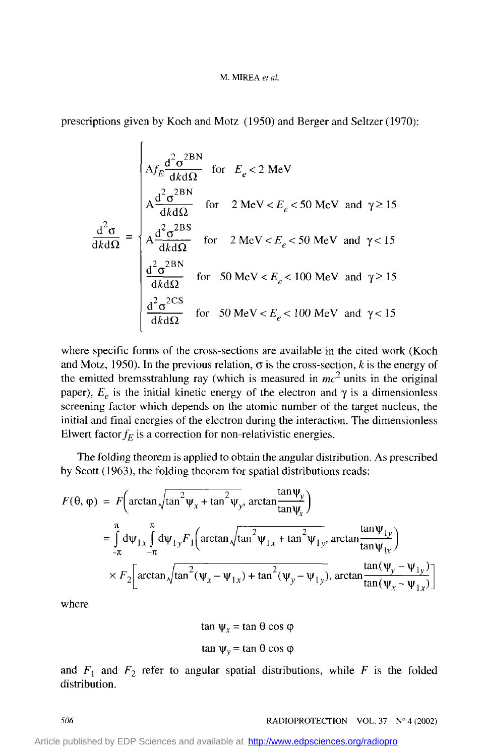#### M. **MrtlEA** *et al.*

prescriptions given by Koch and Motz (1950) and Berger and Seltzer (1970):

 $\epsilon$ 

$$
\frac{d^2 \sigma}{d\kappa d\Omega} = \begin{cases}\nA_f \frac{d^2 \sigma^{2BN}}{dk d\Omega} & \text{for } E_e < 2 \text{ MeV} \\
A \frac{d^2 \sigma^{2BN}}{dk d\Omega} & \text{for } 2 \text{ MeV} < E_e < 50 \text{ MeV} \text{ and } \gamma \ge 15 \\
A \frac{d^2 \sigma^{2BS}}{dk d\Omega} & \text{for } 2 \text{ MeV} < E_e < 50 \text{ MeV} \text{ and } \gamma < 15 \\
\frac{d^2 \sigma^{2BN}}{dk d\Omega} & \text{for } 50 \text{ MeV} < E_e < 100 \text{ MeV} \text{ and } \gamma \ge 15 \\
\frac{d^2 \sigma^{2CS}}{dk d\Omega} & \text{for } 50 \text{ MeV} < E_e < 100 \text{ MeV} \text{ and } \gamma < 15\n\end{cases}
$$

where specific forms of the cross-sections are available in the cited work (Koch and Motz, 1950). In the previous relation,  $\sigma$  is the cross-section, k is the energy of the emitted bremsstrahlung ray (which is measured in  $mc^2$  units in the original paper),  $E_e$  is the initial kinetic energy of the electron and  $\gamma$  is a dimensionless screening factor which depends on the atomic number of the target nucleus, the initial and final energies of the electron during the interaction. The dimensionless Elwert factor  $f_E$  is a correction for non-relativistic energies.

The folding theorem is applied to obtain the angular distribution. **As** prescribed by Scott (1963), the folding theorem for spatial distributions reads:

$$
F(\theta, \varphi) = F\left(\arctan\sqrt{\tan^2 \psi_x + \tan^2 \psi_y}, \arctan\frac{\tan \psi_y}{\tan \psi_x}\right)
$$
  
\n
$$
= \int_{-\pi}^{\pi} d\psi_{1x} \int_{-\pi}^{\pi} d\psi_{1y} F_1\left(\arctan\sqrt{\tan^2 \psi_{1x} + \tan^2 \psi_{1y}}, \arctan\frac{\tan \psi_{1y}}{\tan \psi_{1x}}\right)
$$
  
\n
$$
\times F_2\left[\arctan\sqrt{\tan^2 (\psi_x - \psi_{1x}) + \tan^2 (\psi_y - \psi_{1y})}, \arctan\frac{\tan (\psi_y - \psi_{1y})}{\tan (\psi_x - \psi_{1x})}\right]
$$

where

$$
\tan \Psi_x = \tan \theta \cos \varphi
$$

$$
\tan \psi_y = \tan \theta \cos \phi
$$

and  $F_1$  and  $F_2$  refer to angular spatial distributions, while F is the folded distribution.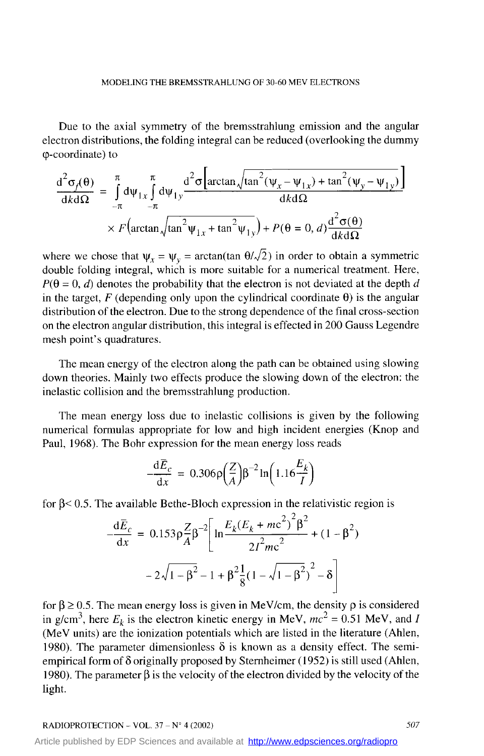Due to the axial symmetry of the bremsstrahlung emission and the angular electron distributions, the folding integral can be reduced (overlooking the dummy pcoordinate) to

coordinate) to  
\n
$$
\frac{d^2\sigma_f(\theta)}{dk d\Omega} = \int_{-\pi}^{\pi} d\psi_{1x} \int_{-\pi}^{\pi} d\psi_{1y} \frac{d^2\sigma \left[ \arctan\sqrt{\tan^2(\psi_x - \psi_{1x}) + \tan^2(\psi_y - \psi_{1y})} \right]}{dk d\Omega}
$$
\n
$$
\times F \left( \arctan\sqrt{\tan^2(\psi_{1x} + \tan^2(\psi_{1y}))} + P(\theta = 0, d) \frac{d^2\sigma(\theta)}{dk d\Omega}
$$

where we chose that  $\psi_r = \psi_v = \arctan(\tan \theta / \sqrt{2})$  in order to obtain a symmetric double folding integral, which is more suitable for a numerical treatment. Here,  $P(\theta = 0, d)$  denotes the probability that the electron is not deviated at the depth d in the target,  $F$  (depending only upon the cylindrical coordinate  $\theta$ ) is the angular distribution of the electron. Due to the strong dependence of the final cross-section on the electron angular distribution, this integral is effected in 200 Gauss Legendre mesh point's quadratures.

The mean energy of the electron along the path can be obtained using slowing down theories. Mainly two effects produce the slowing down of the electron: the inelastic collision and the bremsstrahlung production.

The mean energy loss due to inelastic collisions is given by the following numerical formulas appropriate for low and high incident energies (Knop and Paul, 1968). The Bohr expression for the mean energy loss reads

$$
\frac{\mathrm{d}\bar{E}_c}{\mathrm{d}x} = 0.306 \rho \left(\frac{Z}{A}\right) \beta^{-2} \ln \left(1.16 \frac{E_k}{I}\right)
$$

for  $\beta$  < 0.5. The available Bethe-Bloch expression in the relativistic region is

$$
-\frac{d\bar{E}_c}{dx} = 0.153 \rho \frac{Z}{A} \beta^{-2} \left[ \ln \frac{E_k (E_k + mc^2)^2 \beta^2}{2I^2 mc^2} + (1 - \beta^2) - 2\sqrt{1 - \beta^2} - 1 + \beta^2 \frac{1}{8} (1 - \sqrt{1 - \beta^2})^2 - \delta \right]
$$

for  $\beta \ge 0.5$ . The mean energy loss is given in MeV/cm, the density  $\rho$  is considered in g/cm<sup>3</sup>, here  $E_k$  is the electron kinetic energy in MeV,  $mc^2 = 0.51$  MeV, and *I* (MeV units) are the ionization potentials which are listed in the literature (Ahlen, 1980). The parameter dimensionless  $\delta$  is known as a density effect. The semiempirical form of **6** originally proposed by Sternheimer (1952) is still used (Ahlen, 1980). The parameter  $\beta$  is the velocity of the electron divided by the velocity of the light.

[Article published by EDP Sciences and available at http://www.edpsciences.org/radiopro](http://www.edpsciences.org/radiopro)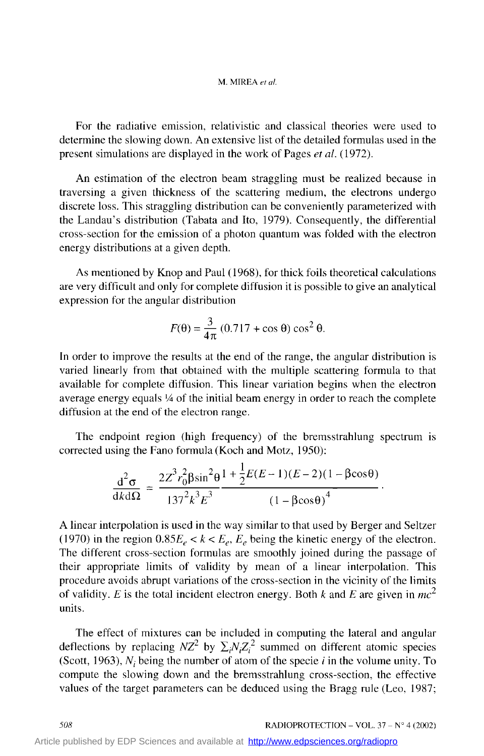### **M.** MIREA *et (il*

For the radiative emission, relativistic and classical theories were used to determine the slowing down. An extensive list of the detailed formulas used in the present simulations are displayed in the work of Pages *et al.* (1972).

An estimation of the electron beam straggling must be realized because in traversing a given thickness of the scattering medium, the electrons undergo discrete loss. This straggling distribution can be conveniently parameterized with the Landau's distribution (Tabata and Ito, 1979). Consequently, the differential cross-section for the emission of a photon quantum was folded with the electron energy distributions at a given depth.

As mentioned by Knop and Paul (1968), for thick foils theoretical calculations are very difficult and only for complete diffusion it is possible to give an analytical expression for the angular distribution

lar distribution  

$$
F(\theta) = \frac{3}{4\pi} (0.717 + \cos \theta) \cos^2 \theta.
$$

In order to improve the results at the end of the range, the angular distribution is varied linearly from that obtained with the multiple scattering formula to that available for complete diffusion. This linear variation begins when the electron average energy equals 1/4 of the initial beam energy in order to reach the complete diffusion at the end of the electron range.

The endpoint region (high frequency) of the bremsstrahlung spectrum is corrected using the Fano formula (Koch and Motz, 1950):

$$
\frac{d^2 \sigma}{d k d \Omega} = \frac{2Z^3 r_0^2 \beta \sin^2 \theta}{137^2 k^3 E^3} \frac{1 + \frac{1}{2}E(E-1)(E-2)(1 - \beta \cos \theta)}{(1 - \beta \cos \theta)^4}.
$$

A linear interpolation is used in the way similar to that used by Berger and Seltzer (1970) in the region  $0.85E_e < k < E_e$ ,  $E_e$  being the kinetic energy of the electron. The different cross-section formulas are smoothly joined during the passage of their appropriate limits of validity by mean of a linear interpolation. This procedure avoids abrupt variations of the cross-section in the vicinity of the limits of validity. *E* is the total incident electron energy. Both *k* and *E* are given in  $mc^2$ units.

The effect of mixtures can be included in computing the lateral and angular deflections by replacing  $NZ^2$  by  $\sum_i N_i Z_i^2$  summed on different atomic species (Scott, 1963),  $N_i$  being the number of atom of the specie  $i$  in the volume unity. To compute the slowing down and the bremsstrahlung cross-section, the effective values of the target parameters can be deduced using the Bragg rule (Leo, 1987;

**508RADIOPROTECTION – VOL. 37 – N° 4 (2002)**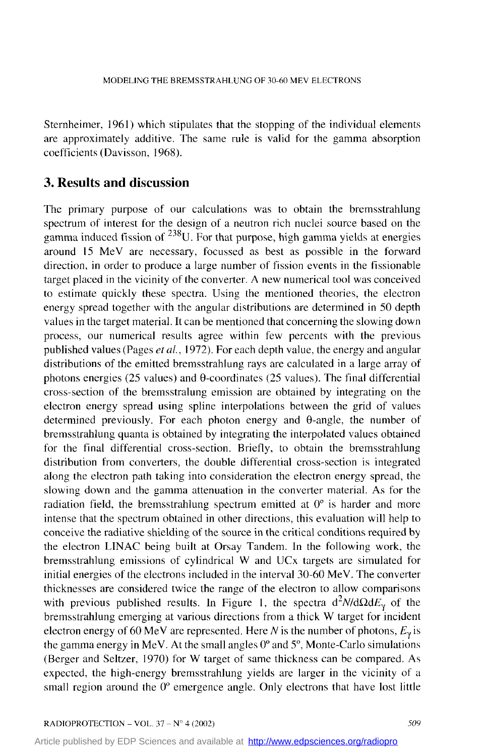Sternheimer, 1961) which stipulates that the stopping of the individual elements are approximately additive. The same rule is valid for the gamma absorption coefficients (Davisson, 1968).

# **3. Results and discussion**

The primary purpose of our calculations was to obtain the bremsstrahlung spectrum of interest for the design of a neutron rich nuclei source based on the gamma induced fission of  $^{238}$ U. For that purpose, high gamma yields at energies around 15 MeV are necessary, focussed as best as possible in the forward direction, in order to produce a large number of fission events in the fissionable target placed in the vicinity of the converter. **A** new numerical tool was conceived to estimate quickly these spectra. Using the mentioned theories, the electron energy spread together with the angular distributions are determined in 50 depth values in the target material. It can be mentioned that concerning the slowing down process, our numerical results agree within few percents with the previous published values (Pages *etul.,* 1972). For each depth value, the energy and angular distributions of the emitted bremsstrahlung rays are calculated in a large array of photons energies (25 values) and  $\theta$ -coordinates (25 values). The final differential cross-section of the bremsstralung emission are obtained by integrating on the electron energy spread using spline interpolations between the grid of values determined previously. For each photon energy and @angle, the number of bremsstrahlung quanta is obtained by integrating the interpolated values obtained for the final differential cross-section. Briefly, to obtain the bremsstrahlung distribution from converters, the double differential cross-section is integrated along the electron path taking into consideration the electron energy spread, the slowing down and the gamma attenuation in the converter material. As for the radiation field, the bremsstrahlung spectrum emitted at  $0^{\circ}$  is harder and more intense that the spectrum obtained in other directions, this evaluation will help to conceive the radiative shielding of the source in the critical conditions required by the electron LINAC being built at Orsay Tandem. In the following work, the bremsstrahlung emissions of cylindrical W and UCx targets are simulated for initial energies of the electrons included in the interval 30-60 MeV. The converter thicknesses are considered twice the range of the electron to allow compansons with previous published results. In Figure 1, the spectra  $d^2N/d\Omega dE_y$  of the bremsstrahlung emerging at various directions from a thick W target for incident electron energy of 60 MeV are represented. Here *N* is the number of photons,  $E_y$  is the gamma energy in MeV. At the small angles O" and *S",* Monte-Carlo simulations (Berger and Seltzer, 1970) for W target of same thickness can be compared. **As**  expected, the high-energy bremsstrahlung yields are larger in the vicinity of a small region around the 0<sup>°</sup> emergence angle. Only electrons that have lost little

[Article published by EDP Sciences and available at http://www.edpsciences.org/radiopro](http://www.edpsciences.org/radiopro)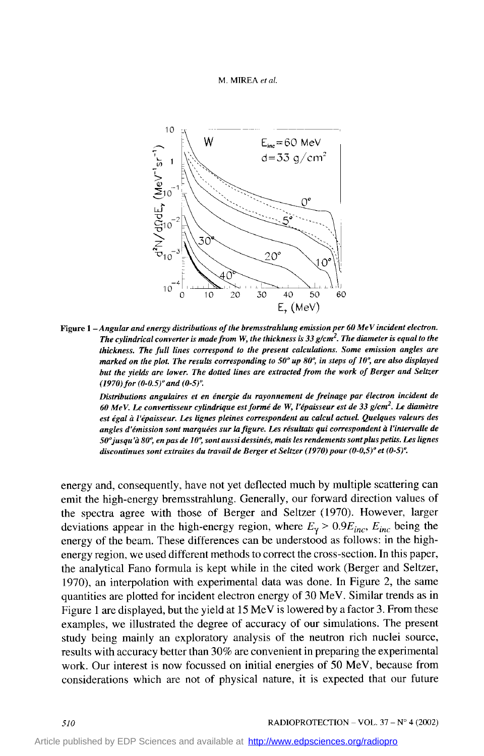



*Figure 1* - *Angular and energy distributions of the bremsstrahlung emissionper 60 MeV incident electron. The cylindrical converter is made from W, the thickness is 33*  $g/cm<sup>2</sup>$ *. The diameter is equal to the thickness. The full lines correspond to the present calculations. Some emission angles are marked on the plot. The results corresponding to 50° up 80°, in steps of 10°, are also displayed but the yields are Iower. The dotted lines are extracîed from the work of Berger and Seltzer (1970) for*  $(0-0.5)$ *<sup>o</sup> and*  $(0-5)$ *<sup>o</sup>.* 

*Distributions angulaires et en énergie du rayonnement de freinage par électron incident de 60 MeV. Le convertisseur cylindrique est fom' de* **W,** *l'épaisseur est de 33 g/cm2. Le diamètre est égal* à *l'épaisseur. Les lignes pleines Correspondent au calcul actuel. Quelques valeurs des angles d'émission sont marquées sur la figure. Les résultats qui correspondent* à *l'inîervalle de 50'jusqu'à 804 en pas de 10: sontaussidessinés,* **mais** *les rendements sontpluspetits. Les lignes discontinues sont extraites du travail de Berger et Seltzer (1970) pour*  $(0-0.5)^{\circ}$  *et*  $(0-5)^{\circ}$ *.* 

energy and, consequently, have not yet deflected much by multiple scattering can emit the high-energy bremsstrahlung. Generally, our forward direction values of the spectra agree with those of Berger and Seltzer *(1970).* However, larger deviations appear in the high-energy region, where  $E_{\gamma}$  > 0.9 $E_{inc}$ ,  $E_{inc}$  being the energy of the beam. These differences can be understood as follows: in the highenergy region, we used different methods to correct the cross-section. In this paper, the analytical Fano formula is kept while in the cited work (Berger and Seltzer, *1970),* an interpolation with experimental data was done. **In** Figure 2, the same quantities are plotted for incident electron energy of 30 MeV. Similar trends as in Figure 1 are displayed, but the yield at *15* MeV is lowered by a factor 3. From these examples, we illustrated the degree of accuracy of our simulations. The present study being mainly an exploratory analysis of the neutron rich nuclei source, results with accuracy better than 30% are convenient in preparing the experimental work. Our interest is now focussed on initial energies of 50 MeV, because from considerations which are not of physical nature, it is expected that Our future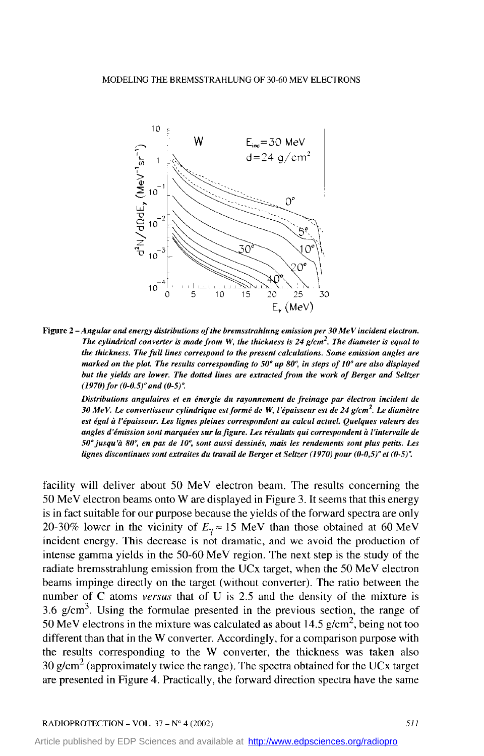

**Figure** *2* - *Angular and energy distributions of the bremssirahlung emisswnper 30 MeV incident electron. The cylindrical converter* **is** *made from W, the thickness* **is** *24 g/cm2. The diameter* **is** *equal to the thickness. The full lines correspond to the present calculations. Some emission angles are marked on the plot. The results corresponding to 50" up 80: in steps of IO" are also displayed*  but the yields are lower. The dotted lines are extracted from the work of Berger and Seltzer *(1970) for (0-0.5)" and (0-5)4* 

*Distributions angulaires et en énergie du rayonnement de freinage par électron incident de 30 MeV. Le convertisseur cylindrique est formé de* **W,** *l'épaisseur est de 24 g/cm2. Le diamètre est égal* à *l'épaisseur. Les lignes pleines correspondent au calcul actuel. Quelques valeurs des angles d'émission sont marquées sur la figure. Les résuhts qui correspondent* à *l'intervalle de 50" jusqu* 'à *80°, en pas de IO', sont aussi dessinés,* **mais** *les rendements sont plus peîüs. Les lignes discontinues sont extraites du travail de Berger et Seltzer (1970) pour*  $(0-0,5)$ *<sup>o</sup> et*  $(0-5)$ *<sup>o</sup>.* 

facility will deliver about 50 MeV electron beam. The results conceming the 50 MeV electron beams ont0 W are displayed in Figure *3.* It seems that this energy is in fact suitable for Our purpose because the yields of the forward spectra are only 20-30% lower in the vicinity of  $E_v \approx 15$  MeV than those obtained at 60 MeV incident energy. This decrease is not dramatic, and we avoid the production of intense gamma yields in the *50-60* MeV region. The next step is the study of the radiate brernsstrahlung emission from the UCx target, when the *50* MeV electron beams impinge directly on the target (without converter). The ratio between the number of C atoms *versus* that of U **is** *2.5* and the density of the mixture is *3.6* g/cm3. Using the formulae presented in the previous section, the range of 50 MeV electrons in the mixture was calculated as about 14.5 g/cm<sup>2</sup>, being not too different than that in the W converter. Accordingly, for a comparison purpose with the results corresponding to the W converter, the thickness was taken also  $30 \text{ g/cm}^2$  (approximately twice the range). The spectra obtained for the UCx target are presented in Figure **4.** Practically, the forward direction spectra have the same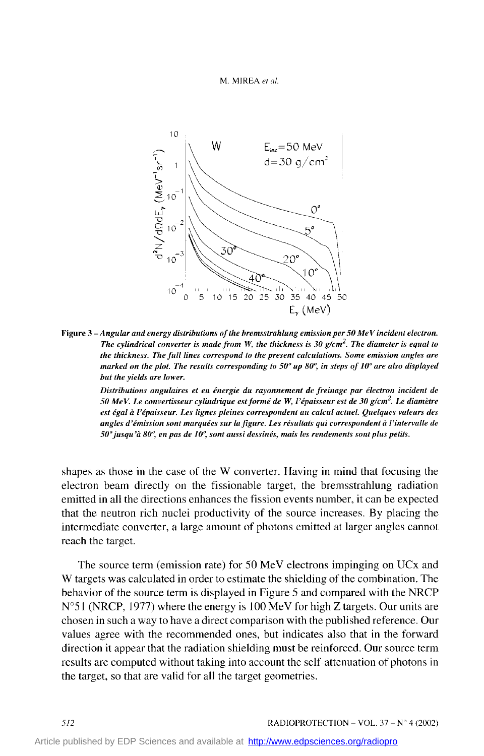#### M. MIREA et al.



Figure 3-Angular and energy distributions of the bremsstrahlung emission per 50 MeV incident electron. *The cylindrical converter* **is** *made from* **W,** *the thickness* is *30 g/cm2. The diameter is equal to the thickness. The full lines correspond to the present calculaîions. Some emisswn angles are marked ou the plot. The results corresponding to* **50"** *up 80: in steps of IO" are also displayed but the yieùis are lower.* 

*Distributions angulaires et en énergie du rayonnement de freinage par électron incident de 50 MeV. Le convertisseur cylindrique est formé de W, l'épaisseur est de 30 g/cm2. Le diamètre est égal* à *l'épaisseur. Les lignes pleines correspondent au calcul actuel. Quelques valeurs des angles d'émission sont marquées sur la figure. Les résultats qui correspondent* Ù *l'intervalle de 5O"jusqu'à 80: eu pas de IO', sont aussi dessinés, mais les rendements sont plus petits.* 

shapes as those in the case of the W converter. Having in mind that focusing the electron beam directly on the fissionable target, the bremsstrahlung radiation emitted in al1 the directions enhances the fission events number, it can be expected that the neutron rich nuclei productivity of the source increases. By placing the intermediate converter, a large amount of photons emitted at larger angles cannot reach the target.

The source term (emission rate) for 50 MeV electrons impinging on UCx and W targets was calculated in order to estimate the shielding of the combination. The behavior of the source term is displayed in Figure *5* and compared with the NRCP  $N^{\circ}$ 51 (NRCP, 1977) where the energy is 100 MeV for high Z targets. Our units are chosen in such a way to have a direct comparison with the published reference. Our values agree with the recommended ones, but indicates also that in the forward direction it appear that the radiation shielding must be reinforced. Our source term results are computed without taking into account the self-attenuation of photons in the target, so that are valid for al1 the target geometries.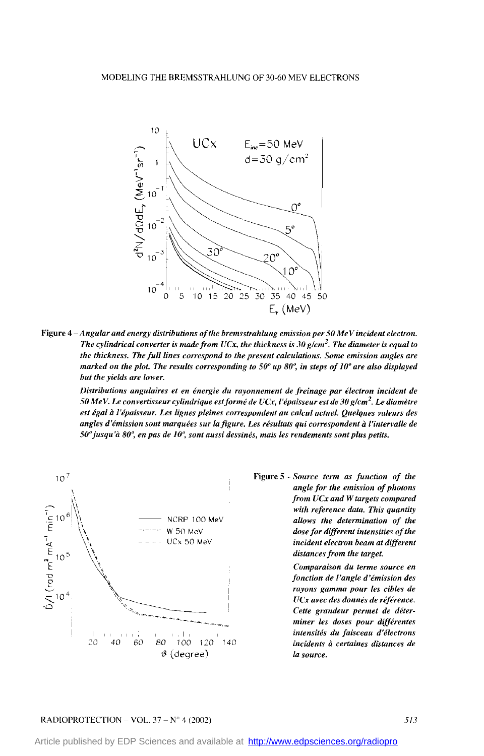

**Figure 4** - *Angular and energy distributions of the brems strahlung emission per* **50** *MeV incident eleclron. The cylindrical converter is made from UCx, the thickness* is *30 g/cm2. The diameter is equal to the thickness. The fiIl lines correspond to the present calcnhtions. Some emission angles are marked on the plot. The resulls corresponding to* **50"** *up 80°, in steps of 10" are aiso displayed but the yields are lower.* 

*Distributions angulaires et en énergie du rayonnement de freinage par électron incident de 50 MeV. Le convertisseur cylindrique est formé de UCx, l'épaisseur est de 30 g/cm2. Le diamètre est égal* à *1 #épaisseur. Les lignes pleines correspondent an calcul acîuel. Quebues valeurs des angles d'émission sont marquées sur lafignre. Les résultats qui correspondent* à *l'intervalle de 50" jusqu* 'à *80: en pas de IO', sont aussi dessinés, mais les rendements sont plus petiis.* 



*angle for the emission of photons from UCx and W targets compared with reference data. This quantiIy*  ~ NCRP 100 **MeV** *aliows the determination of the dose for different intensiîies of the incident electron beam at different*  distances from the target.

> *Comparaison du terme source en fonction de l'angle d'émission des rayons gamma pour les cibles de UCx avec des donnés de référence. Cette grandeur permet de déterminer les doses pour différentes intensiîés du faisceau d'électrons incùients* à *cerlaines distances de la source.*

#### RADIOPROTECTION – VOL. 37 – N° 4 (2002) *513*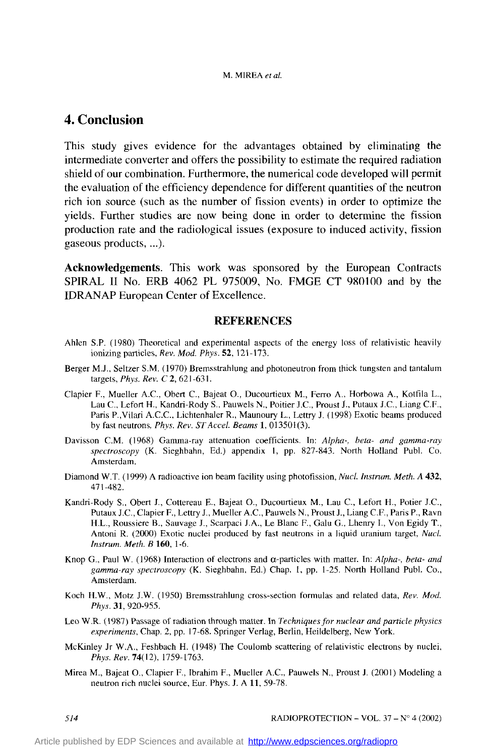# **4. Conclusion**

This study gives evidence for the advantages obtained by eliminating the intermediate converter and offers the possibility to estimate the required radiation shield of Our combination. Furthermore, the numerical code developed will permit the evaluation of the efficiency dependence for different quantities of the neutron rich ion source (such as the number of fission events) in order to optimize the yields. Further studies are now being done in order to determine the fission production rate and the radiological issues (exposure to induced activity, fission gaseous products, ...).

**Acknowledgernenîs.** This work was sponsored by the European Contracts SPIRAL II No. ERB 4062 PL 975009, No. FMGE CT 980100 and by the IDRANAF' European Center of Excellence.

### **REFERENCES**

- Ahlen S.P. (1980) Theoretical and expenmental aspects of the energy loss of relativistic heavily ionizing particles, *Reu. Mod. Phys.* 52, 121-173.
- Berger M.J., Seltzer S.M. (1970) Bremsstrahlung and photoneutron from thick tungsten and tantalum targets, *Phys. Rev. C* 2, 621-631.
- Clapier F., Mueller A.C., Obert C., Bajeat O., Ducourtieux M., Ferro A., Horbowa **A.,** Kotfila L., Lau C., Lefort H., Kandri-Rody S., Pauwels N., Poitier J.C., Proust J., Putaux J.C., Liang C.F., Pans P.,Vilari A.C.C., Lichtenhaler R., Maunoury L., Lettry **J.** (1998) Exotic beams produced by fast neutrons, *Phys. Rev. ST Accel. Beams* 1, 013501(3).
- Davisson C.M. (1968) Gamma-ray attenuation coefficients. In: *Alpha-, beta- and gamma-ray spectroscopy* (K. Sieghbahn, Ed.) appendix 1, pp. 827-843. North Holland Publ. Co. Amsterdam.
- Diamond W.T. (1999) **A** radioactive ion beam facility using photofission, *Nucl. Inutrum. Meth. A* 432, 47 1-482.
- Kandn-Rody S., Obert **J.,** Cottereau E., Bajeat O., Ducourtieux **M.,** Lau C., Lefort H., Potier J.C., Putaux J.C., Clapier F., Lettry J., Mueller A.C., Pauwels N., Proust J., Liang C.F., Pans P., Ravn H.L., Roussiere **B.,** Sauvage **J.,** Scarpaci **J.A.,** Le Blanc F., Galu *G..* Lhenry I., Von Egidy T., Antoni R. *(2000)* Exotic nuclei produced by fast neutrons in a liquid uranium target, *Nucl. Instrum. Meth. B* **160,** 1-6.
- Knop **G.,** Paul W. (1968) Interaction of electrons and a-particles with matter. In: *Alpha-, beta- und gamma-ray spectroscopy* (K. Sieghbahn, Ed.) Chap. 1, pp. 1-25. North Holland Publ. Co., Amsterdam.
- Koch H.W., Motz J.W. (1950) Bremsstrahlung cross-section formulas and related data, *Rev. Mud.*  Phys. 31, 920-955.
- Leo W.R. (1987) Passage of radiation through matter. In *Techniquesfor nuclear and purticle physics experiments,* Chap. 2, pp. 17-68. Spnnger Verlag, Berlin, Heildelberg, New **York.**
- McKinley **Jr** W.A., Feshbach H. (1948) The Coulomb scattering of relativistic electrons by nuclei, *Phys. Rev.* **74(12),** 1759-1763.
- Mirea M., Bajeat O., Clapier F., Ibrahim F., Mueller A.C., Pauwels N., Proust **J.** (2001) Modeling a neutron rich nuclei source, Eur. Phys. J. A 11, 59-78.